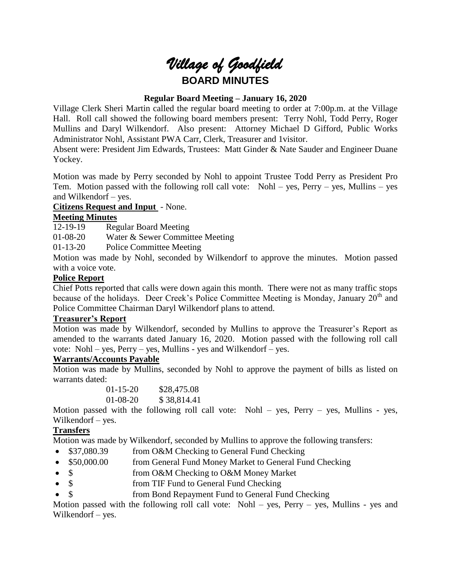# *Village of Goodfield* **BOARD MINUTES**

## **Regular Board Meeting – January 16, 2020**

Village Clerk Sheri Martin called the regular board meeting to order at 7:00p.m. at the Village Hall. Roll call showed the following board members present: Terry Nohl, Todd Perry, Roger Mullins and Daryl Wilkendorf. Also present: Attorney Michael D Gifford, Public Works Administrator Nohl, Assistant PWA Carr, Clerk, Treasurer and 1visitor.

Absent were: President Jim Edwards, Trustees: Matt Ginder & Nate Sauder and Engineer Duane Yockey.

Motion was made by Perry seconded by Nohl to appoint Trustee Todd Perry as President Pro Tem. Motion passed with the following roll call vote: Nohl – yes, Perry – yes, Mullins – yes and Wilkendorf – yes.

#### **Citizens Request and Input** - None.

#### **Meeting Minutes**

12-19-19 Regular Board Meeting

01-08-20 Water & Sewer Committee Meeting

01-13-20 Police Committee Meeting

Motion was made by Nohl, seconded by Wilkendorf to approve the minutes. Motion passed with a voice vote.

#### **Police Report**

Chief Potts reported that calls were down again this month. There were not as many traffic stops because of the holidays. Deer Creek's Police Committee Meeting is Monday, January  $20<sup>th</sup>$  and Police Committee Chairman Daryl Wilkendorf plans to attend.

#### **Treasurer's Report**

Motion was made by Wilkendorf, seconded by Mullins to approve the Treasurer's Report as amended to the warrants dated January 16, 2020. Motion passed with the following roll call vote: Nohl – yes, Perry – yes, Mullins - yes and Wilkendorf – yes.

#### **Warrants/Accounts Payable**

Motion was made by Mullins, seconded by Nohl to approve the payment of bills as listed on warrants dated:

> 01-15-20 \$28,475.08 01-08-20 \$ 38,814.41

Motion passed with the following roll call vote: Nohl – yes, Perry – yes, Mullins - yes, Wilkendorf – yes.

# **Transfers**

Motion was made by Wilkendorf, seconded by Mullins to approve the following transfers:

- \$37,080.39 from O&M Checking to General Fund Checking
- \$50,000.00 from General Fund Money Market to General Fund Checking
- \$ from O&M Checking to O&M Money Market
- \$ from TIF Fund to General Fund Checking
- \$ from Bond Repayment Fund to General Fund Checking

Motion passed with the following roll call vote: Nohl – yes, Perry – yes, Mullins - yes and Wilkendorf – yes.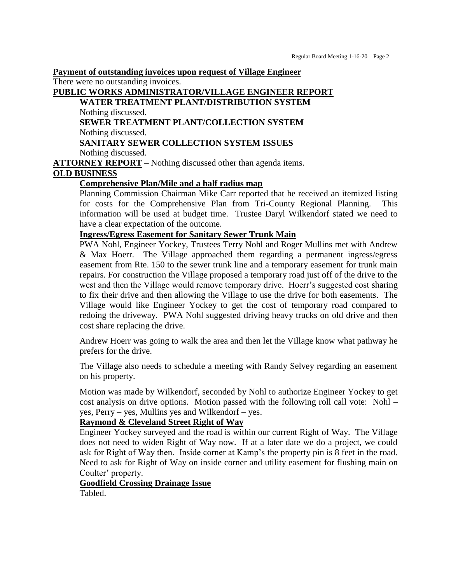**Payment of outstanding invoices upon request of Village Engineer**

There were no outstanding invoices.

# **PUBLIC WORKS ADMINISTRATOR/VILLAGE ENGINEER REPORT WATER TREATMENT PLANT/DISTRIBUTION SYSTEM** Nothing discussed. **SEWER TREATMENT PLANT/COLLECTION SYSTEM** Nothing discussed. **SANITARY SEWER COLLECTION SYSTEM ISSUES**

Nothing discussed.

**ATTORNEY REPORT** – Nothing discussed other than agenda items.

## **OLD BUSINESS**

#### **Comprehensive Plan/Mile and a half radius map**

Planning Commission Chairman Mike Carr reported that he received an itemized listing for costs for the Comprehensive Plan from Tri-County Regional Planning. This information will be used at budget time. Trustee Daryl Wilkendorf stated we need to have a clear expectation of the outcome.

#### **Ingress/Egress Easement for Sanitary Sewer Trunk Main**

PWA Nohl, Engineer Yockey, Trustees Terry Nohl and Roger Mullins met with Andrew & Max Hoerr. The Village approached them regarding a permanent ingress/egress easement from Rte. 150 to the sewer trunk line and a temporary easement for trunk main repairs. For construction the Village proposed a temporary road just off of the drive to the west and then the Village would remove temporary drive. Hoerr's suggested cost sharing to fix their drive and then allowing the Village to use the drive for both easements. The Village would like Engineer Yockey to get the cost of temporary road compared to redoing the driveway. PWA Nohl suggested driving heavy trucks on old drive and then cost share replacing the drive.

Andrew Hoerr was going to walk the area and then let the Village know what pathway he prefers for the drive.

The Village also needs to schedule a meeting with Randy Selvey regarding an easement on his property.

Motion was made by Wilkendorf, seconded by Nohl to authorize Engineer Yockey to get cost analysis on drive options. Motion passed with the following roll call vote: Nohl – yes, Perry – yes, Mullins yes and Wilkendorf – yes.

#### **Raymond & Cleveland Street Right of Way**

Engineer Yockey surveyed and the road is within our current Right of Way. The Village does not need to widen Right of Way now. If at a later date we do a project, we could ask for Right of Way then. Inside corner at Kamp's the property pin is 8 feet in the road. Need to ask for Right of Way on inside corner and utility easement for flushing main on Coulter' property.

## **Goodfield Crossing Drainage Issue**

Tabled.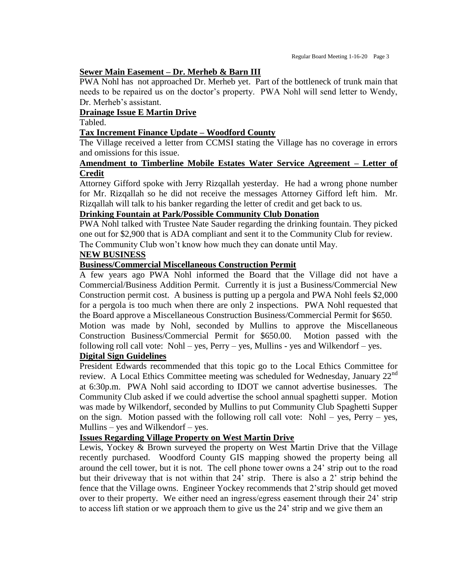#### **Sewer Main Easement – Dr. Merheb & Barn III**

PWA Nohl has not approached Dr. Merheb yet. Part of the bottleneck of trunk main that needs to be repaired us on the doctor's property. PWA Nohl will send letter to Wendy, Dr. Merheb's assistant.

#### **Drainage Issue E Martin Drive**

Tabled.

#### **Tax Increment Finance Update – Woodford County**

The Village received a letter from CCMSI stating the Village has no coverage in errors and omissions for this issue.

#### **Amendment to Timberline Mobile Estates Water Service Agreement – Letter of Credit**

Attorney Gifford spoke with Jerry Rizqallah yesterday. He had a wrong phone number for Mr. Rizqallah so he did not receive the messages Attorney Gifford left him. Mr. Rizqallah will talk to his banker regarding the letter of credit and get back to us.

#### **Drinking Fountain at Park/Possible Community Club Donation**

PWA Nohl talked with Trustee Nate Sauder regarding the drinking fountain. They picked one out for \$2,900 that is ADA compliant and sent it to the Community Club for review. The Community Club won't know how much they can donate until May.

# **NEW BUSINESS**

#### **Business/Commercial Miscellaneous Construction Permit**

A few years ago PWA Nohl informed the Board that the Village did not have a Commercial/Business Addition Permit. Currently it is just a Business/Commercial New Construction permit cost. A business is putting up a pergola and PWA Nohl feels \$2,000 for a pergola is too much when there are only 2 inspections. PWA Nohl requested that the Board approve a Miscellaneous Construction Business/Commercial Permit for \$650.

Motion was made by Nohl, seconded by Mullins to approve the Miscellaneous Construction Business/Commercial Permit for \$650.00. Motion passed with the following roll call vote: Nohl – yes,  $Perry - yes$ , Mullins - yes and Wilkendorf – yes.

#### **Digital Sign Guidelines**

President Edwards recommended that this topic go to the Local Ethics Committee for review. A Local Ethics Committee meeting was scheduled for Wednesday, January  $22^{nd}$ at 6:30p.m. PWA Nohl said according to IDOT we cannot advertise businesses. The Community Club asked if we could advertise the school annual spaghetti supper. Motion was made by Wilkendorf, seconded by Mullins to put Community Club Spaghetti Supper on the sign. Motion passed with the following roll call vote: Nohl – yes, Perry – yes, Mullins – yes and Wilkendorf – yes.

# **Issues Regarding Village Property on West Martin Drive**

Lewis, Yockey & Brown surveyed the property on West Martin Drive that the Village recently purchased. Woodford County GIS mapping showed the property being all around the cell tower, but it is not. The cell phone tower owns a 24' strip out to the road but their driveway that is not within that 24' strip. There is also a 2' strip behind the fence that the Village owns. Engineer Yockey recommends that 2'strip should get moved over to their property. We either need an ingress/egress easement through their 24' strip to access lift station or we approach them to give us the 24' strip and we give them an